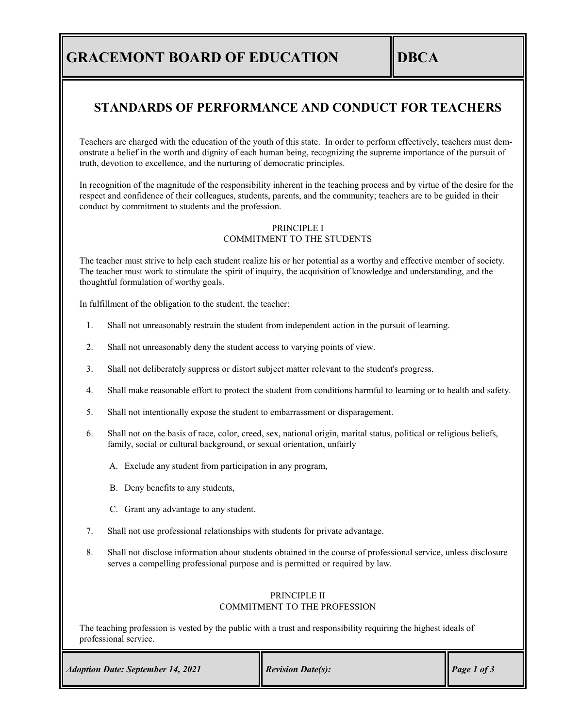## **GRACEMONT BOARD OF EDUCATION IDBCA**

### **STANDARDS OF PERFORMANCE AND CONDUCT FOR TEACHERS**

Teachers are charged with the education of the youth of this state. In order to perform effectively, teachers must demonstrate a belief in the worth and dignity of each human being, recognizing the supreme importance of the pursuit of truth, devotion to excellence, and the nurturing of democratic principles.

In recognition of the magnitude of the responsibility inherent in the teaching process and by virtue of the desire for the respect and confidence of their colleagues, students, parents, and the community; teachers are to be guided in their conduct by commitment to students and the profession.

### PRINCIPLE I COMMITMENT TO THE STUDENTS

The teacher must strive to help each student realize his or her potential as a worthy and effective member of society. The teacher must work to stimulate the spirit of inquiry, the acquisition of knowledge and understanding, and the thoughtful formulation of worthy goals.

In fulfillment of the obligation to the student, the teacher:

- 1. Shall not unreasonably restrain the student from independent action in the pursuit of learning.
- 2. Shall not unreasonably deny the student access to varying points of view.
- 3. Shall not deliberately suppress or distort subject matter relevant to the student's progress.
- 4. Shall make reasonable effort to protect the student from conditions harmful to learning or to health and safety.
- 5. Shall not intentionally expose the student to embarrassment or disparagement.
- 6. Shall not on the basis of race, color, creed, sex, national origin, marital status, political or religious beliefs, family, social or cultural background, or sexual orientation, unfairly
	- A. Exclude any student from participation in any program,
	- B. Deny benefits to any students,
	- C. Grant any advantage to any student.
- 7. Shall not use professional relationships with students for private advantage.
- 8. Shall not disclose information about students obtained in the course of professional service, unless disclosure serves a compelling professional purpose and is permitted or required by law.

#### PRINCIPLE II COMMITMENT TO THE PROFESSION

The teaching profession is vested by the public with a trust and responsibility requiring the highest ideals of professional service.

*Adoption Date: September 14, 2021 Revision Date(s): Page 1 of 3*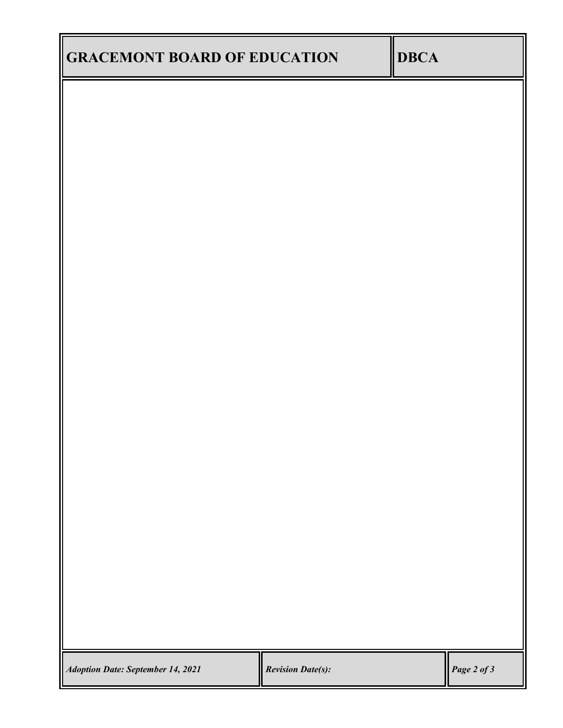| <b>GRACEMONT BOARD OF EDUCATION</b>      |                          | <b>DBCA</b> |                     |
|------------------------------------------|--------------------------|-------------|---------------------|
|                                          |                          |             |                     |
|                                          |                          |             |                     |
|                                          |                          |             |                     |
|                                          |                          |             |                     |
|                                          |                          |             |                     |
|                                          |                          |             |                     |
|                                          |                          |             |                     |
|                                          |                          |             |                     |
|                                          |                          |             |                     |
|                                          |                          |             |                     |
|                                          |                          |             |                     |
|                                          |                          |             |                     |
|                                          |                          |             |                     |
| <b>Adoption Date: September 14, 2021</b> | <b>Revision Date(s):</b> |             | $\vert$ Page 2 of 3 |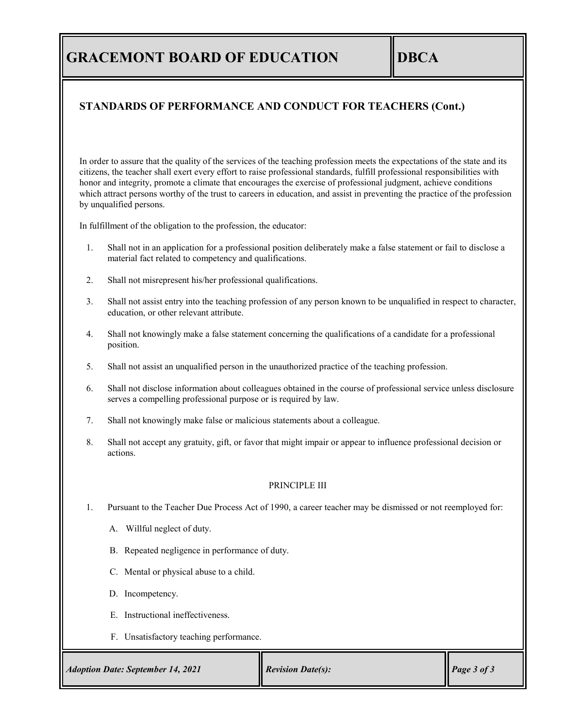## **GRACEMONT BOARD OF EDUCATION IDBCA**

### **STANDARDS OF PERFORMANCE AND CONDUCT FOR TEACHERS (Cont.)**

In order to assure that the quality of the services of the teaching profession meets the expectations of the state and its citizens, the teacher shall exert every effort to raise professional standards, fulfill professional responsibilities with honor and integrity, promote a climate that encourages the exercise of professional judgment, achieve conditions which attract persons worthy of the trust to careers in education, and assist in preventing the practice of the profession by unqualified persons.

In fulfillment of the obligation to the profession, the educator:

- 1. Shall not in an application for a professional position deliberately make a false statement or fail to disclose a material fact related to competency and qualifications.
- 2. Shall not misrepresent his/her professional qualifications.
- 3. Shall not assist entry into the teaching profession of any person known to be unqualified in respect to character, education, or other relevant attribute.
- 4. Shall not knowingly make a false statement concerning the qualifications of a candidate for a professional position.
- 5. Shall not assist an unqualified person in the unauthorized practice of the teaching profession.
- 6. Shall not disclose information about colleagues obtained in the course of professional service unless disclosure serves a compelling professional purpose or is required by law.
- 7. Shall not knowingly make false or malicious statements about a colleague.
- 8. Shall not accept any gratuity, gift, or favor that might impair or appear to influence professional decision or actions.

#### PRINCIPLE III

- 1. Pursuant to the Teacher Due Process Act of 1990, a career teacher may be dismissed or not reemployed for:
	- A. Willful neglect of duty.
	- B. Repeated negligence in performance of duty.
	- C. Mental or physical abuse to a child.
	- D. Incompetency.
	- E. Instructional ineffectiveness.
	- F. Unsatisfactory teaching performance.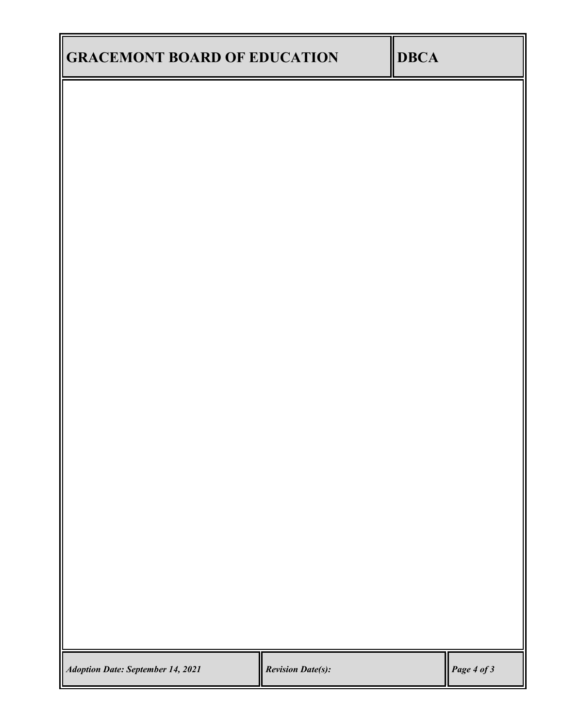| <b>GRACEMONT BOARD OF EDUCATION</b>      |                          | <b>DBCA</b> |                     |
|------------------------------------------|--------------------------|-------------|---------------------|
|                                          |                          |             |                     |
|                                          |                          |             |                     |
|                                          |                          |             |                     |
|                                          |                          |             |                     |
|                                          |                          |             |                     |
|                                          |                          |             |                     |
|                                          |                          |             |                     |
|                                          |                          |             |                     |
|                                          |                          |             |                     |
|                                          |                          |             |                     |
|                                          |                          |             |                     |
|                                          |                          |             |                     |
|                                          |                          |             |                     |
| <b>Adoption Date: September 14, 2021</b> | <b>Revision Date(s):</b> |             | $\vert$ Page 4 of 3 |

IJ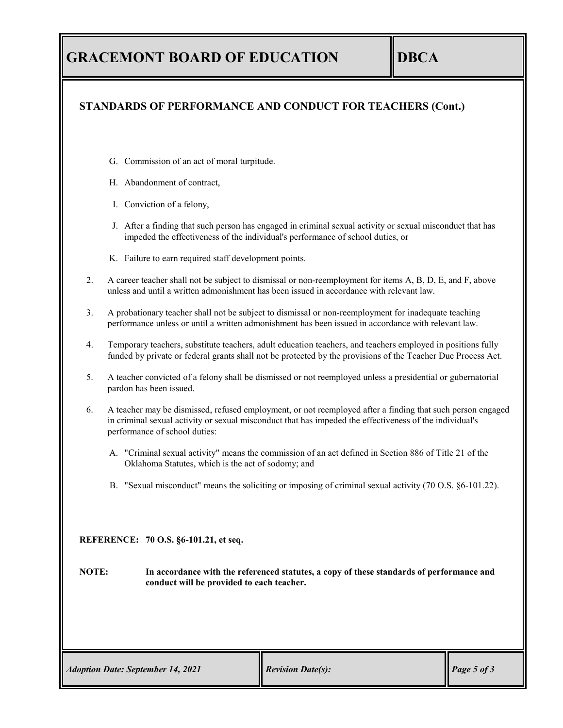## **GRACEMONT BOARD OF EDUCATION IDBCA**

### **STANDARDS OF PERFORMANCE AND CONDUCT FOR TEACHERS (Cont.)**

- G. Commission of an act of moral turpitude.
- H. Abandonment of contract,
- I. Conviction of a felony,
- J. After a finding that such person has engaged in criminal sexual activity or sexual misconduct that has impeded the effectiveness of the individual's performance of school duties, or
- K. Failure to earn required staff development points.
- 2. A career teacher shall not be subject to dismissal or non-reemployment for items A, B, D, E, and F, above unless and until a written admonishment has been issued in accordance with relevant law.
- 3. A probationary teacher shall not be subject to dismissal or non-reemployment for inadequate teaching performance unless or until a written admonishment has been issued in accordance with relevant law.
- 4. Temporary teachers, substitute teachers, adult education teachers, and teachers employed in positions fully funded by private or federal grants shall not be protected by the provisions of the Teacher Due Process Act.
- 5. A teacher convicted of a felony shall be dismissed or not reemployed unless a presidential or gubernatorial pardon has been issued.
- 6. A teacher may be dismissed, refused employment, or not reemployed after a finding that such person engaged in criminal sexual activity or sexual misconduct that has impeded the effectiveness of the individual's performance of school duties:
	- A. "Criminal sexual activity" means the commission of an act defined in Section 886 of Title 21 of the Oklahoma Statutes, which is the act of sodomy; and
	- B. "Sexual misconduct" means the soliciting or imposing of criminal sexual activity (70 O.S. §6-101.22).

**REFERENCE: 70 O.S. §6-101.21, et seq.**

**NOTE: In accordance with the referenced statutes, a copy of these standards of performance and conduct will be provided to each teacher.**

*Adoption Date: September 14, 2021 Revision Date(s): Page 5 of 3*